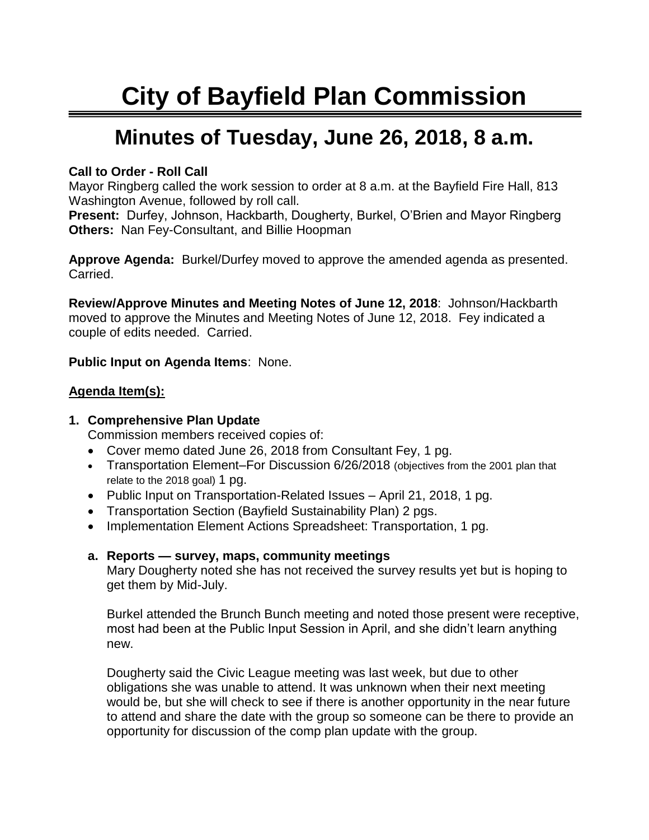# **City of Bayfield Plan Commission**

## **Minutes of Tuesday, June 26, 2018, 8 a.m.**

#### **Call to Order - Roll Call**

Mayor Ringberg called the work session to order at 8 a.m. at the Bayfield Fire Hall, 813 Washington Avenue, followed by roll call.

**Present:** Durfey, Johnson, Hackbarth, Dougherty, Burkel, O'Brien and Mayor Ringberg **Others:** Nan Fey-Consultant, and Billie Hoopman

**Approve Agenda:** Burkel/Durfey moved to approve the amended agenda as presented. Carried.

**Review/Approve Minutes and Meeting Notes of June 12, 2018**: Johnson/Hackbarth moved to approve the Minutes and Meeting Notes of June 12, 2018. Fey indicated a couple of edits needed. Carried.

**Public Input on Agenda Items**: None.

#### **Agenda Item(s):**

#### **1. Comprehensive Plan Update**

Commission members received copies of:

- Cover memo dated June 26, 2018 from Consultant Fey, 1 pg.
- Transportation Element–For Discussion 6/26/2018 (objectives from the 2001 plan that relate to the 2018 goal) 1 pg.
- Public Input on Transportation-Related Issues April 21, 2018, 1 pg.
- Transportation Section (Bayfield Sustainability Plan) 2 pgs.
- Implementation Element Actions Spreadsheet: Transportation, 1 pg.

#### **a. Reports — survey, maps, community meetings**

Mary Dougherty noted she has not received the survey results yet but is hoping to get them by Mid-July.

Burkel attended the Brunch Bunch meeting and noted those present were receptive, most had been at the Public Input Session in April, and she didn't learn anything new.

Dougherty said the Civic League meeting was last week, but due to other obligations she was unable to attend. It was unknown when their next meeting would be, but she will check to see if there is another opportunity in the near future to attend and share the date with the group so someone can be there to provide an opportunity for discussion of the comp plan update with the group.